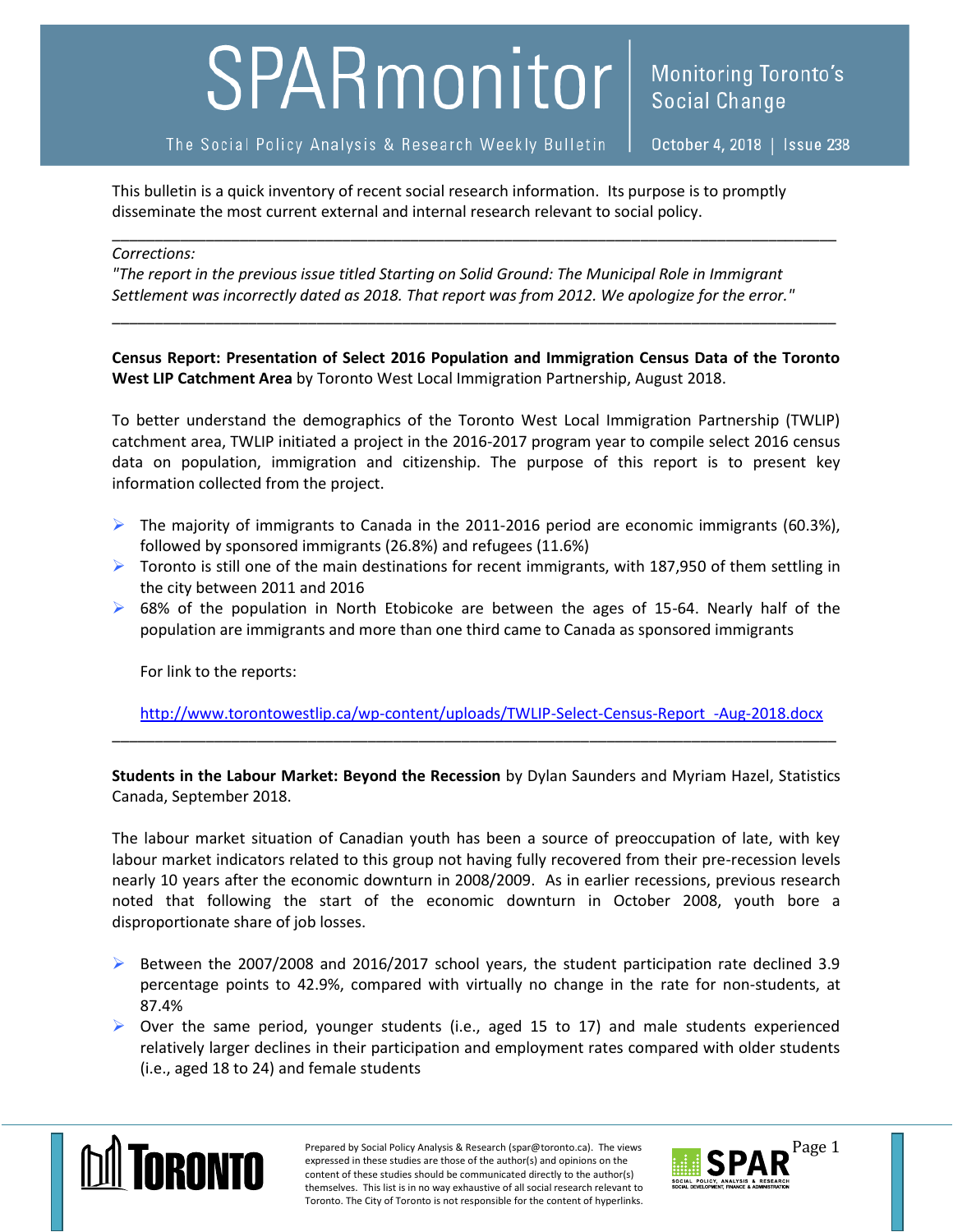## SPARmonitor

The Social Policy Analysis & Research Weekly Bulletin

October 4, 2018 | Issue 238

This bulletin is a quick inventory of recent social research information. Its purpose is to promptly disseminate the most current external and internal research relevant to social policy.

## *Corrections:*

*"The report in the previous issue titled Starting on Solid Ground: The Municipal Role in Immigrant Settlement was incorrectly dated as 2018. That report was from 2012. We apologize for the error."*

\_\_\_\_\_\_\_\_\_\_\_\_\_\_\_\_\_\_\_\_\_\_\_\_\_\_\_\_\_\_\_\_\_\_\_\_\_\_\_\_\_\_\_\_\_\_\_\_\_\_\_\_\_\_\_\_\_\_\_\_\_\_\_\_\_\_\_\_\_\_\_\_\_\_\_\_\_\_\_\_\_\_\_\_\_

**Census Report: Presentation of Select 2016 Population and Immigration Census Data of the Toronto West LIP Catchment Area** by Toronto West Local Immigration Partnership, August 2018.

\_\_\_\_\_\_\_\_\_\_\_\_\_\_\_\_\_\_\_\_\_\_\_\_\_\_\_\_\_\_\_\_\_\_\_\_\_\_\_\_\_\_\_\_\_\_\_\_\_\_\_\_\_\_\_\_\_\_\_\_\_\_\_\_\_\_\_\_\_\_\_\_\_\_\_\_\_\_\_\_\_\_\_\_\_

To better understand the demographics of the Toronto West Local Immigration Partnership (TWLIP) catchment area, TWLIP initiated a project in the 2016-2017 program year to compile select 2016 census data on population, immigration and citizenship. The purpose of this report is to present key information collected from the project.

- The majority of immigrants to Canada in the 2011-2016 period are economic immigrants (60.3%), followed by sponsored immigrants (26.8%) and refugees (11.6%)
- $\triangleright$  Toronto is still one of the main destinations for recent immigrants, with 187,950 of them settling in the city between 2011 and 2016
- $\triangleright$  68% of the population in North Etobicoke are between the ages of 15-64. Nearly half of the population are immigrants and more than one third came to Canada as sponsored immigrants

For link to the reports:

[http://www.torontowestlip.ca/wp-content/uploads/TWLIP-Select-Census-Report\\_-Aug-2018.docx](http://www.torontowestlip.ca/wp-content/uploads/TWLIP-Select-Census-Report_-Aug-2018.docx) \_\_\_\_\_\_\_\_\_\_\_\_\_\_\_\_\_\_\_\_\_\_\_\_\_\_\_\_\_\_\_\_\_\_\_\_\_\_\_\_\_\_\_\_\_\_\_\_\_\_\_\_\_\_\_\_\_\_\_\_\_\_\_\_\_\_\_\_\_\_\_\_\_\_\_\_\_\_\_\_\_\_\_\_\_

**Students in the Labour Market: Beyond the Recession** by Dylan Saunders and Myriam Hazel, Statistics Canada, September 2018.

The labour market situation of Canadian youth has been a source of preoccupation of late, with key labour market indicators related to this group not having fully recovered from their pre-recession levels nearly 10 years after the economic downturn in 2008/2009. As in earlier recessions, previous research noted that following the start of the economic downturn in October 2008, youth bore a disproportionate share of job losses.

- $\triangleright$  Between the 2007/2008 and 2016/2017 school years, the student participation rate declined 3.9 percentage points to 42.9%, compared with virtually no change in the rate for non-students, at 87.4%
- $\triangleright$  Over the same period, younger students (i.e., aged 15 to 17) and male students experienced relatively larger declines in their participation and employment rates compared with older students (i.e., aged 18 to 24) and female students



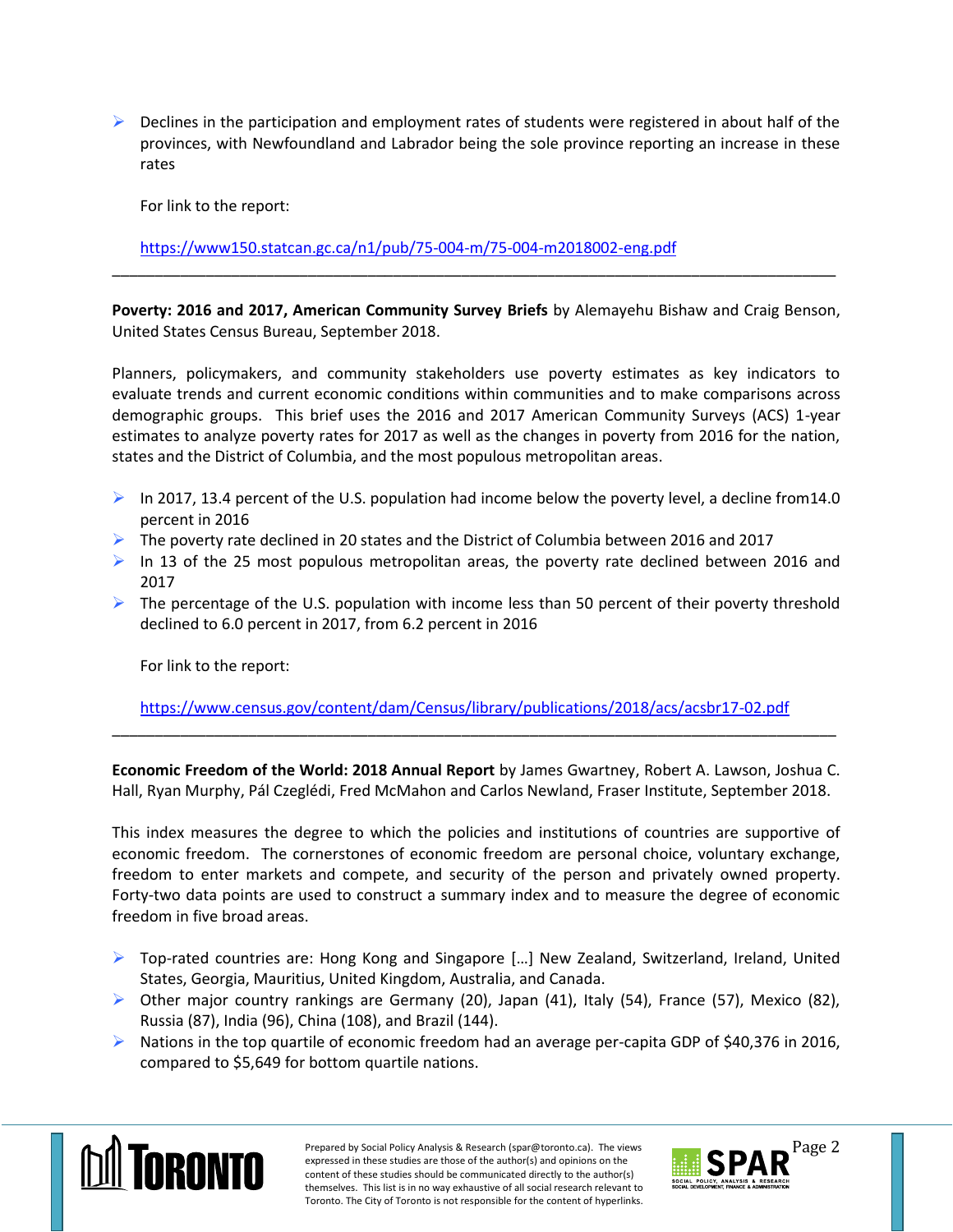$\triangleright$  Declines in the participation and employment rates of students were registered in about half of the provinces, with Newfoundland and Labrador being the sole province reporting an increase in these rates

For link to the report:

<https://www150.statcan.gc.ca/n1/pub/75-004-m/75-004-m2018002-eng.pdf>

**Poverty: 2016 and 2017, American Community Survey Briefs** by Alemayehu Bishaw and Craig Benson, United States Census Bureau, September 2018.

\_\_\_\_\_\_\_\_\_\_\_\_\_\_\_\_\_\_\_\_\_\_\_\_\_\_\_\_\_\_\_\_\_\_\_\_\_\_\_\_\_\_\_\_\_\_\_\_\_\_\_\_\_\_\_\_\_\_\_\_\_\_\_\_\_\_\_\_\_\_\_\_\_\_\_\_\_\_\_\_\_\_\_\_\_

Planners, policymakers, and community stakeholders use poverty estimates as key indicators to evaluate trends and current economic conditions within communities and to make comparisons across demographic groups. This brief uses the 2016 and 2017 American Community Surveys (ACS) 1-year estimates to analyze poverty rates for 2017 as well as the changes in poverty from 2016 for the nation, states and the District of Columbia, and the most populous metropolitan areas.

- In 2017, 13.4 percent of the U.S. population had income below the poverty level, a decline from 14.0 percent in 2016
- $\triangleright$  The poverty rate declined in 20 states and the District of Columbia between 2016 and 2017
- In 13 of the 25 most populous metropolitan areas, the poverty rate declined between 2016 and 2017
- $\triangleright$  The percentage of the U.S. population with income less than 50 percent of their poverty threshold declined to 6.0 percent in 2017, from 6.2 percent in 2016

For link to the report:

<https://www.census.gov/content/dam/Census/library/publications/2018/acs/acsbr17-02.pdf> \_\_\_\_\_\_\_\_\_\_\_\_\_\_\_\_\_\_\_\_\_\_\_\_\_\_\_\_\_\_\_\_\_\_\_\_\_\_\_\_\_\_\_\_\_\_\_\_\_\_\_\_\_\_\_\_\_\_\_\_\_\_\_\_\_\_\_\_\_\_\_\_\_\_\_\_\_\_\_\_\_\_\_\_\_

**Economic Freedom of the World: 2018 Annual Report** by James Gwartney, Robert A. Lawson, Joshua C. Hall, Ryan Murphy, Pál Czeglédi, Fred McMahon and Carlos Newland, Fraser Institute, September 2018.

This index measures the degree to which the policies and institutions of countries are supportive of economic freedom. The cornerstones of economic freedom are personal choice, voluntary exchange, freedom to enter markets and compete, and security of the person and privately owned property. Forty-two data points are used to construct a summary index and to measure the degree of economic freedom in five broad areas.

- $\triangleright$  Top-rated countries are: Hong Kong and Singapore [...] New Zealand, Switzerland, Ireland, United States, Georgia, Mauritius, United Kingdom, Australia, and Canada.
- $\triangleright$  Other major country rankings are Germany (20), Japan (41), Italy (54), France (57), Mexico (82), Russia (87), India (96), China (108), and Brazil (144).
- $\triangleright$  Nations in the top quartile of economic freedom had an average per-capita GDP of \$40,376 in 2016, compared to \$5,649 for bottom quartile nations.